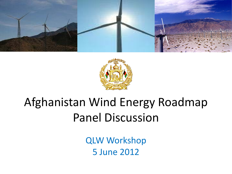



## Afghanistan Wind Energy Roadmap Panel Discussion

QLW Workshop 5 June 2012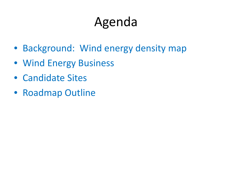# Agenda

- Background: Wind energy density map
- Wind Energy Business
- Candidate Sites
- Roadmap Outline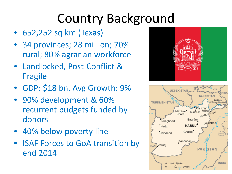# Country Background

- 652,252 sq km (Texas)
- 34 provinces; 28 million; 70% rural; 80% agrarian workforce
- Landlocked, Post-Conflict & Fragile
- GDP: \$18 bn, Avg Growth: 9%
- 90% development & 60% recurrent budgets funded by donors
- 40% below poverty line
- ISAF Forces to GoA transition by end 2014



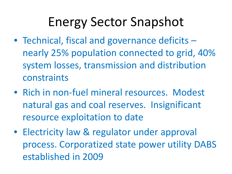- Technical, fiscal and governance deficits nearly 25% population connected to grid, 40% system losses, transmission and distribution constraints
- Rich in non-fuel mineral resources. Modest natural gas and coal reserves. Insignificant resource exploitation to date
- Electricity law & regulator under approval process. Corporatized state power utility DABS established in 2009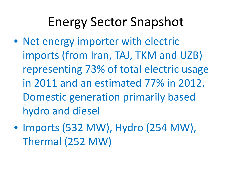- Net energy importer with electric imports (from Iran, TAJ, TKM and UZB) representing 73% of total electric usage in 2011 and an estimated 77% in 2012. Domestic generation primarily based hydro and diesel
- Imports (532 MW), Hydro (254 MW), Thermal (252 MW)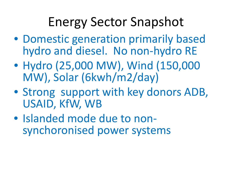- Domestic generation primarily based hydro and diesel. No non-hydro RE
- Hydro (25,000 MW), Wind (150,000 MW), Solar (6kwh/m2/day)
- Strong support with key donors ADB, USAID, KfW, WB
- Islanded mode due to non- synchoronised power systems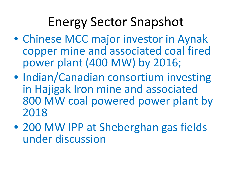- Chinese MCC major investor in Aynak copper mine and associated coal fired power plant (400 MW) by 2016;
- Indian/Canadian consortium investing in Hajigak Iron mine and associated 800 MW coal powered power plant by 2018
- 200 MW IPP at Sheberghan gas fields under discussion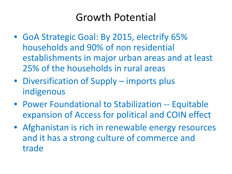#### Growth Potential

- GoA Strategic Goal: By 2015, electrify 65% households and 90% of non residential establishments in major urban areas and at least 25% of the households in rural areas
- Diversification of Supply imports plus indigenous
- Power Foundational to Stabilization -- Equitable expansion of Access for political and COIN effect
- Afghanistan is rich in renewable energy resources and it has a strong culture of commerce and trade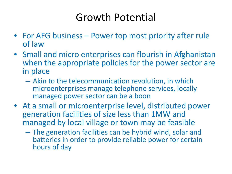#### Growth Potential

- For AFG business Power top most priority after rule of law
- Small and micro enterprises can flourish in Afghanistan when the appropriate policies for the power sector are in place
	- Akin to the telecommunication revolution, in which microenterprises manage telephone services, locally managed power sector can be a boon
- At a small or microenterprise level, distributed power generation facilities of size less than 1MW and managed by local village or town may be feasible
	- The generation facilities can be hybrid wind, solar and batteries in order to provide reliable power for certain hours of day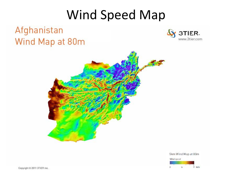## Wind Speed Map



5km Wind Map at 80m

Wind speed  $\frac{1}{2}$  m/s  $\overline{b}$ ž.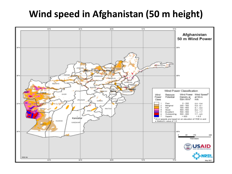#### **Wind speed in Afghanistan (50 m height)**

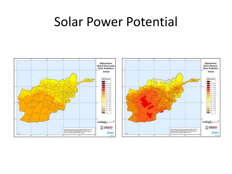## Solar Power Potential



or 1

 $\overline{a}$ 

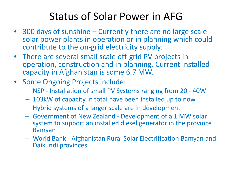#### Status of Solar Power in AFG

- 300 days of sunshine Currently there are no large scale solar power plants in operation or in planning which could contribute to the on-grid electricity supply.
- There are several small scale off-grid PV projects in operation, construction and in planning. Current installed capacity in Afghanistan is some 6.7 MW.
- Some Ongoing Projects include:
	- NSP Installation of small PV Systems ranging from 20 40W
	- 103kW of capacity in total have been installed up to now
	- Hybrid systems of a larger scale are in development
	- Government of New Zealand Development of a 1 MW solar system to support an installed diesel generator in the province Bamyan
	- World Bank Afghanistan Rural Solar Electrification Bamyan and Daikundi provinces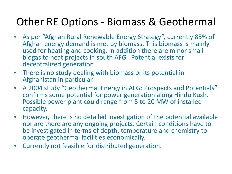#### Other RE Options - Biomass & Geothermal

- As per "Afghan Rural Renewable Energy Strategy", currently 85% of Afghan energy demand is met by biomass. This biomass is mainly used for heating and cooking. In addition there are minor small biogas to heat projects in south AFG. Potential exists for decentralized generation
- There is no study dealing with biomass or its potential in Afghanistan in particular.
- A 2004 study "Geothermal Energy in AFG: Prospects and Potentials" confirms some potential for power generation along Hindu Kush. Possible power plant could range from 5 to 20 MW of installed capacity.
- However, there is no detailed investigation of the potential available nor are there are any ongoing projects. Certain conditions have to be investigated in terms of depth, temperature and chemistry to operate geothermal facilities economically.
- Currently not feasible for distributed generation.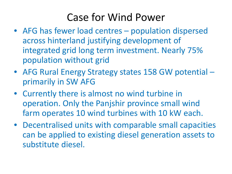#### Case for Wind Power

- AFG has fewer load centres population dispersed across hinterland justifying development of integrated grid long term investment. Nearly 75% population without grid
- AFG Rural Energy Strategy states 158 GW potential primarily in SW AFG
- Currently there is almost no wind turbine in operation. Only the Panjshir province small wind farm operates 10 wind turbines with 10 kW each.
- Decentralised units with comparable small capacities can be applied to existing diesel generation assets to substitute diesel.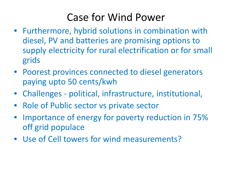#### Case for Wind Power

- Furthermore, hybrid solutions in combination with diesel, PV and batteries are promising options to supply electricity for rural electrification or for small grids
- Poorest provinces connected to diesel generators paying upto 50 cents/kwh
- Challenges political, infrastructure, institutional,
- Role of Public sector vs private sector
- Importance of energy for poverty reduction in 75% off grid populace
- Use of Cell towers for wind measurements?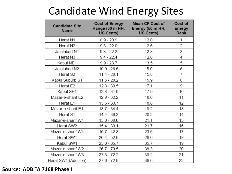### Candidate Wind Energy Sites

| <b>Candidate Site</b><br><b>Name</b> | <b>Cost of Energy</b><br>Range (50 m HH,<br>US Cents) | Mean CF Cost of<br>Energy (50 m HH,<br>US Cents) | Cost of<br>Energy<br>Rank |
|--------------------------------------|-------------------------------------------------------|--------------------------------------------------|---------------------------|
| Herat N1                             | $8.9 - 20.9$                                          | 12.0                                             | 1                         |
| Herat N2                             | $9.3 - 22.0$                                          | 12.6                                             | 2                         |
| Jalalabad N1                         | $9.3 - 22.2$                                          | 12.8                                             | 3                         |
| Herat N3                             | $9.4 - 22.4$                                          | 12.8                                             | 4                         |
| Kabul NE1                            | $9.9 - 23.7$                                          | 13.5                                             | 5                         |
| Jalalabad N2                         | $10.9 - 26.5$                                         | 15.0                                             | 6                         |
| Herat S2                             | $11.4 - 28.1$                                         | 15.8                                             | 7                         |
| Kabul Suburb S1                      | $11.5 - 28.2$                                         | 15.9                                             | 8                         |
| Herat E2                             | $12.3 - 30.5$                                         | 17.1                                             | 9                         |
| Kabul SE1                            | $12.8 - 31.9$                                         | 17.9                                             | 10                        |
| Mazar-e-sharif E2                    | $12.9 - 32.2$                                         | 18.0                                             | 11                        |
| Herat E1                             | $13.5 - 33.7$                                         | 18.8                                             | 12                        |
| Mazar-e-sharif E1                    | $13.7 - 34.4$                                         | 19.2                                             | 13                        |
| Herat S1                             | $14.4 - 36.3$                                         | 20.2                                             | 14                        |
| Mazar-e-sharif W1                    | $15.0 - 38.0$                                         | 21.1                                             | 15                        |
| Herat SW2                            | $15.4 - 39.1$                                         | 21.7                                             | 16                        |
| Mazar-e-sharif W4                    | $16.7 - 42.8$                                         | 23.6                                             | 17                        |
| Herat SW1                            | 20.4 - 52.9                                           | 29.0                                             | 18                        |
| Kabul SW1                            | $25.0 - 65.7$                                         | 35.7                                             | 19                        |
| Mazar-e-sharif W2                    | $26.7 - 70.5$                                         | 38.3                                             | 20                        |
| Mazar-e-sharif W3                    | $27.3 - 72.2$                                         | 39.2                                             | 21                        |
| Herat SW1 (Addition)                 | 27.6 - 72.9                                           | 39.6                                             | 22                        |

#### **Source: ADB TA 7168 Phase I**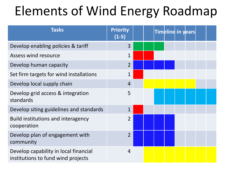# Elements of Wind Energy Roadmap

| <b>Tasks</b>                                                                | <b>Priority</b><br>$(1-5)$ |  |  | Timeline in years |  |
|-----------------------------------------------------------------------------|----------------------------|--|--|-------------------|--|
| Develop enabling policies & tariff                                          | 3                          |  |  |                   |  |
| Assess wind resource                                                        | $\mathbf{1}$               |  |  |                   |  |
| Develop human capacity                                                      | $\overline{2}$             |  |  |                   |  |
| Set firm targets for wind installations                                     | $\mathbf 1$                |  |  |                   |  |
| Develop local supply chain                                                  | $\overline{4}$             |  |  |                   |  |
| Develop grid access & integration<br>standards                              | 5                          |  |  |                   |  |
| Develop siting guidelines and standards                                     | $\mathbf 1$                |  |  |                   |  |
| Build institutions and interagency<br>cooperation                           | $\overline{2}$             |  |  |                   |  |
| Develop plan of engagement with<br>community                                | $\overline{2}$             |  |  |                   |  |
| Develop capability in local financial<br>institutions to fund wind projects | 4                          |  |  |                   |  |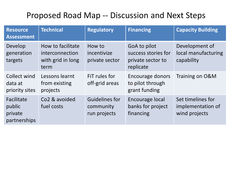#### Proposed Road Map -- Discussion and Next Steps

| <b>Resource</b><br><b>Assessment</b>            | <b>Technical</b>                                                  | <b>Regulatory</b>                           | <b>Financing</b>                                                      | <b>Capacity Building</b>                                |
|-------------------------------------------------|-------------------------------------------------------------------|---------------------------------------------|-----------------------------------------------------------------------|---------------------------------------------------------|
| Develop<br>generation<br>targets                | How to facilitate<br>interconnection<br>with grid in long<br>term | How to<br>incentivize<br>private sector     | GoA to pilot<br>success stories for<br>private sector to<br>replicate | Development of<br>local manufacturing<br>capability     |
| Collect wind<br>data at<br>priority sites       | Lessons learnt<br>from existing<br>projects                       | FiT rules for<br>off-grid areas             | Encourage donors<br>to pilot through<br>grant funding                 | Training on O&M                                         |
| Facilitate<br>public<br>private<br>partnerships | Co <sub>2</sub> & avoided<br>fuel costs                           | Guidelines for<br>community<br>run projects | Encourage local<br>banks for project<br>financing                     | Set timelines for<br>implementation of<br>wind projects |